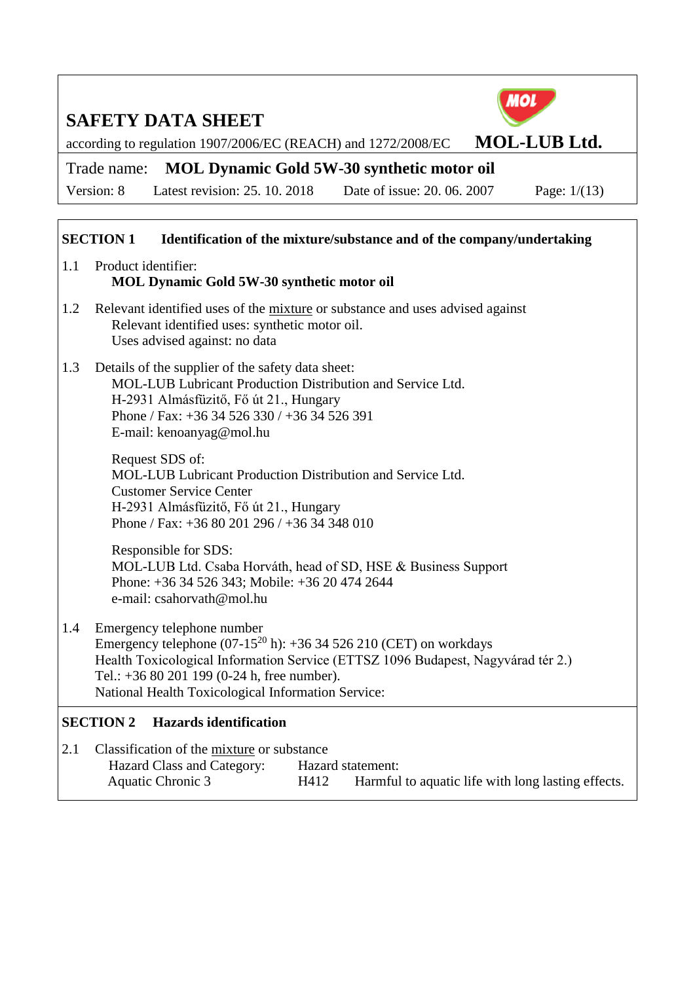MOL

according to regulation 1907/2006/EC (REACH) and 1272/2008/EC **MOL-LUB Ltd.** 

## Trade name: **MOL Dynamic Gold 5W-30 synthetic motor oil**

Version: 8 Latest revision: 25. 10. 2018 Date of issue: 20. 06. 2007 Page: 1/(13)

## **SECTION 1** Identification of the mixture/substance and of the company/undertaking

| 1.1 Product identifier:                    |  |
|--------------------------------------------|--|
| MOL Dynamic Gold 5W-30 synthetic motor oil |  |

- 1.2 Relevant identified uses of the mixture or substance and uses advised against Relevant identified uses: synthetic motor oil. Uses advised against: no data
- 1.3 Details of the supplier of the safety data sheet: MOL-LUB Lubricant Production Distribution and Service Ltd. H-2931 Almásfüzitő, Fő út 21., Hungary Phone / Fax: +36 34 526 330 / +36 34 526 391 E-mail: kenoanyag@mol.hu

Request SDS of: MOL-LUB Lubricant Production Distribution and Service Ltd. Customer Service Center H-2931 Almásfüzitő, Fő út 21., Hungary Phone / Fax: +36 80 201 296 / +36 34 348 010

Responsible for SDS: MOL-LUB Ltd. Csaba Horváth, head of SD, HSE & Business Support Phone: +36 34 526 343; Mobile: +36 20 474 2644 e-mail: csahorvath@mol.hu

1.4 Emergency telephone number Emergency telephone  $(07-15^{20} h)$ : +36 34 526 210 (CET) on workdays Health Toxicological Information Service (ETTSZ 1096 Budapest, Nagyvárad tér 2.) Tel.: +36 80 201 199 (0-24 h, free number). National Health Toxicological Information Service:

## **SECTION 2 Hazards identification**

2.1 Classification of the mixture or substance Hazard Class and Category: Hazard statement: Aquatic Chronic 3 H412 Harmful to aquatic life with long lasting effects.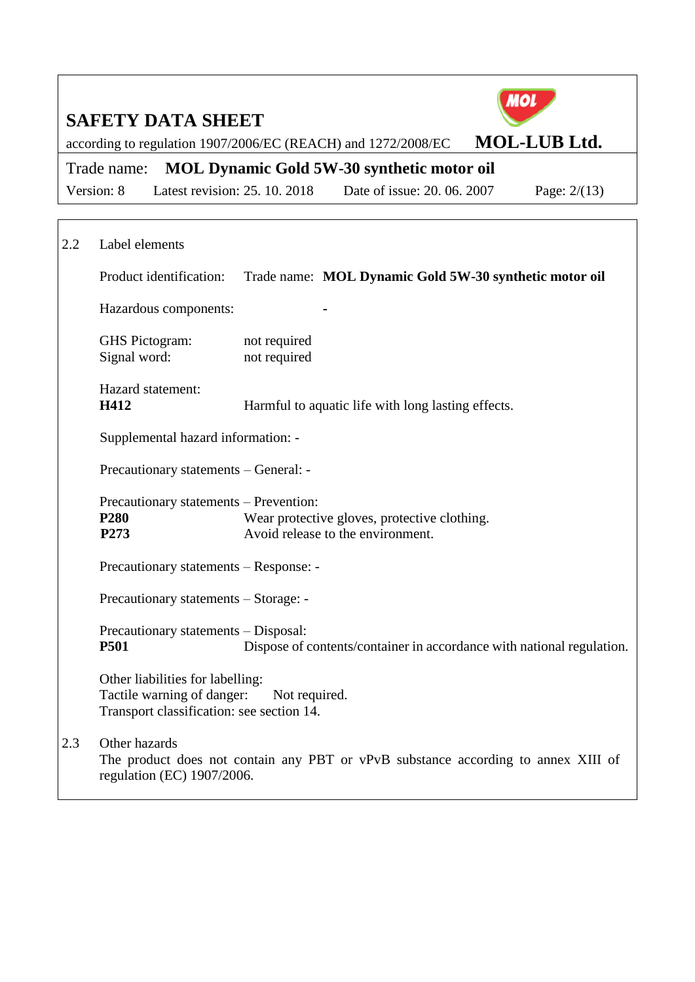|     | <b>SAFETY DATA SHEET</b>                                                                                    |                               |                                                                                   | ИO                                                                                |
|-----|-------------------------------------------------------------------------------------------------------------|-------------------------------|-----------------------------------------------------------------------------------|-----------------------------------------------------------------------------------|
|     |                                                                                                             |                               | according to regulation 1907/2006/EC (REACH) and 1272/2008/EC                     | <b>MOL-LUB Ltd.</b>                                                               |
|     | Trade name:                                                                                                 |                               | <b>MOL Dynamic Gold 5W-30 synthetic motor oil</b>                                 |                                                                                   |
|     | Version: 8                                                                                                  | Latest revision: 25. 10. 2018 | Date of issue: 20, 06, 2007                                                       | Page: $2/(13)$                                                                    |
|     |                                                                                                             |                               |                                                                                   |                                                                                   |
| 2.2 | Label elements                                                                                              |                               |                                                                                   |                                                                                   |
|     | Product identification:                                                                                     |                               | Trade name: MOL Dynamic Gold 5W-30 synthetic motor oil                            |                                                                                   |
|     | Hazardous components:                                                                                       |                               |                                                                                   |                                                                                   |
|     | <b>GHS</b> Pictogram:<br>Signal word:                                                                       | not required<br>not required  |                                                                                   |                                                                                   |
|     | Hazard statement:<br>H412                                                                                   |                               | Harmful to aquatic life with long lasting effects.                                |                                                                                   |
|     | Supplemental hazard information: -                                                                          |                               |                                                                                   |                                                                                   |
|     | Precautionary statements - General: -                                                                       |                               |                                                                                   |                                                                                   |
|     | Precautionary statements – Prevention:<br>P <sub>280</sub><br>P273                                          |                               | Wear protective gloves, protective clothing.<br>Avoid release to the environment. |                                                                                   |
|     | Precautionary statements – Response: -                                                                      |                               |                                                                                   |                                                                                   |
|     | Precautionary statements - Storage: -                                                                       |                               |                                                                                   |                                                                                   |
|     | Precautionary statements - Disposal:<br><b>P501</b>                                                         |                               |                                                                                   | Dispose of contents/container in accordance with national regulation.             |
|     | Other liabilities for labelling:<br>Tactile warning of danger:<br>Transport classification: see section 14. | Not required.                 |                                                                                   |                                                                                   |
| 2.3 | Other hazards<br>regulation (EC) 1907/2006.                                                                 |                               |                                                                                   | The product does not contain any PBT or vPvB substance according to annex XIII of |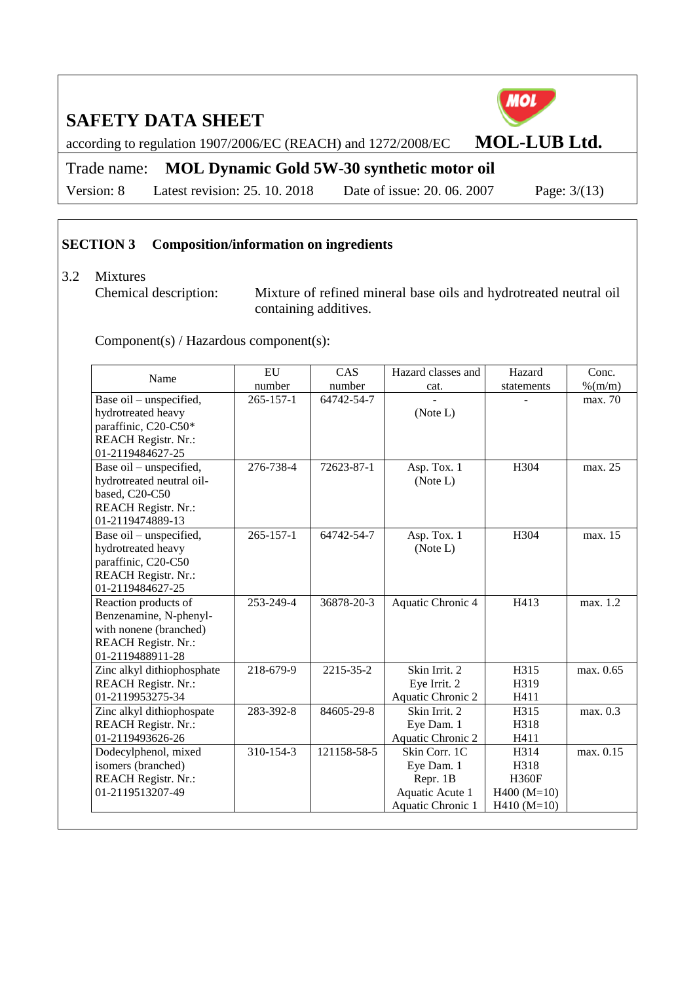**MOL** 

according to regulation 1907/2006/EC (REACH) and 1272/2008/EC **MOL-LUB Ltd.** 

## Trade name: **MOL Dynamic Gold 5W-30 synthetic motor oil**

Version: 8 Latest revision: 25. 10. 2018 Date of issue: 20. 06. 2007 Page: 3/(13)

## **SECTION 3 Composition/information on ingredients**

#### 3.2 Mixtures

Chemical description: Mixture of refined mineral base oils and hydrotreated neutral oil containing additives.

Component(s) / Hazardous component(s):

| Name                       | EU              | CAS         | Hazard classes and | Hazard        | Conc.      |
|----------------------------|-----------------|-------------|--------------------|---------------|------------|
|                            | number          | number      | cat.               | statements    | $\%$ (m/m) |
| Base oil - unspecified,    | $265 - 157 - 1$ | 64742-54-7  |                    |               | max. 70    |
| hydrotreated heavy         |                 |             | (Note L)           |               |            |
| paraffinic, C20-C50*       |                 |             |                    |               |            |
| <b>REACH Registr. Nr.:</b> |                 |             |                    |               |            |
| 01-2119484627-25           |                 |             |                    |               |            |
| Base oil – unspecified,    | 276-738-4       | 72623-87-1  | Asp. Tox. 1        | H304          | max. 25    |
| hydrotreated neutral oil-  |                 |             | (Note L)           |               |            |
| based, C20-C50             |                 |             |                    |               |            |
| <b>REACH Registr. Nr.:</b> |                 |             |                    |               |            |
| 01-2119474889-13           |                 |             |                    |               |            |
| Base oil – unspecified,    | $265 - 157 - 1$ | 64742-54-7  | Asp. Tox. 1        | H304          | max. 15    |
| hydrotreated heavy         |                 |             | (Note L)           |               |            |
| paraffinic, C20-C50        |                 |             |                    |               |            |
| <b>REACH Registr. Nr.:</b> |                 |             |                    |               |            |
| 01-2119484627-25           |                 |             |                    |               |            |
| Reaction products of       | 253-249-4       | 36878-20-3  | Aquatic Chronic 4  | H413          | max. 1.2   |
| Benzenamine, N-phenyl-     |                 |             |                    |               |            |
| with nonene (branched)     |                 |             |                    |               |            |
| <b>REACH Registr. Nr.:</b> |                 |             |                    |               |            |
| 01-2119488911-28           |                 |             |                    |               |            |
| Zinc alkyl dithiophosphate | 218-679-9       | 2215-35-2   | Skin Irrit. 2      | H315          | max. 0.65  |
| <b>REACH Registr. Nr.:</b> |                 |             | Eye Irrit. 2       | H319          |            |
| 01-2119953275-34           |                 |             | Aquatic Chronic 2  | H411          |            |
| Zinc alkyl dithiophospate  | 283-392-8       | 84605-29-8  | Skin Irrit. 2      | H315          | max. 0.3   |
| <b>REACH Registr. Nr.:</b> |                 |             | Eye Dam. 1         | H318          |            |
| 01-2119493626-26           |                 |             | Aquatic Chronic 2  | H411          |            |
| Dodecylphenol, mixed       | 310-154-3       | 121158-58-5 | Skin Corr. 1C      | H314          | max. 0.15  |
| isomers (branched)         |                 |             | Eye Dam. 1         | H318          |            |
| <b>REACH Registr. Nr.:</b> |                 |             | Repr. 1B           | <b>H360F</b>  |            |
| 01-2119513207-49           |                 |             | Aquatic Acute 1    | $H400 (M=10)$ |            |
|                            |                 |             | Aquatic Chronic 1  | $H410 (M=10)$ |            |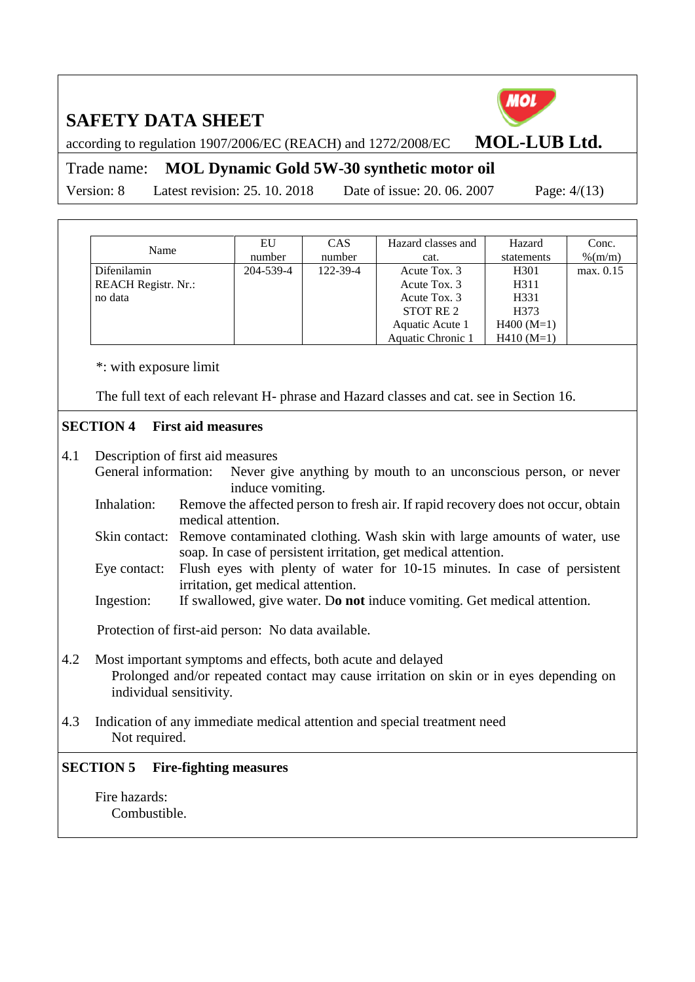according to regulation 1907/2006/EC (REACH) and 1272/2008/EC **MOL-LUB Ltd.** 

Trade name: **MOL Dynamic Gold 5W-30 synthetic motor oil**

Version: 8 Latest revision: 25. 10. 2018 Date of issue: 20. 06. 2007 Page: 4/(13)

| Name                       | EU        | <b>CAS</b> | Hazard classes and | Hazard           | Conc.     |
|----------------------------|-----------|------------|--------------------|------------------|-----------|
|                            | number    | number     | cat.               | statements       | % (m/m)   |
| Difenilamin                | 204-539-4 | 122-39-4   | Acute Tox. 3       | H <sub>301</sub> | max. 0.15 |
| <b>REACH Registr. Nr.:</b> |           |            | Acute Tox. 3       | H311             |           |
| no data                    |           |            | Acute Tox. 3       | H331             |           |
|                            |           |            | STOT RE 2          | H373             |           |
|                            |           |            | Aquatic Acute 1    | $H400 (M=1)$     |           |
|                            |           |            | Aquatic Chronic 1  | $H410(M=1)$      |           |

\*: with exposure limit

The full text of each relevant H- phrase and Hazard classes and cat. see in Section 16.

## **SECTION 4 First aid measures**

4.1 Description of first aid measures

General information: Never give anything by mouth to an unconscious person, or never induce vomiting.

- Inhalation: Remove the affected person to fresh air. If rapid recovery does not occur, obtain medical attention.
- Skin contact: Remove contaminated clothing. Wash skin with large amounts of water, use soap. In case of persistent irritation, get medical attention.
- Eye contact: Flush eyes with plenty of water for 10-15 minutes. In case of persistent irritation, get medical attention.
- Ingestion: If swallowed, give water. D**o not** induce vomiting. Get medical attention.

Protection of first-aid person: No data available.

- 4.2 Most important symptoms and effects, both acute and delayed Prolonged and/or repeated contact may cause irritation on skin or in eyes depending on individual sensitivity.
- 4.3 Indication of any immediate medical attention and special treatment need Not required.

## **SECTION 5 Fire-fighting measures**

Fire hazards: Combustible.

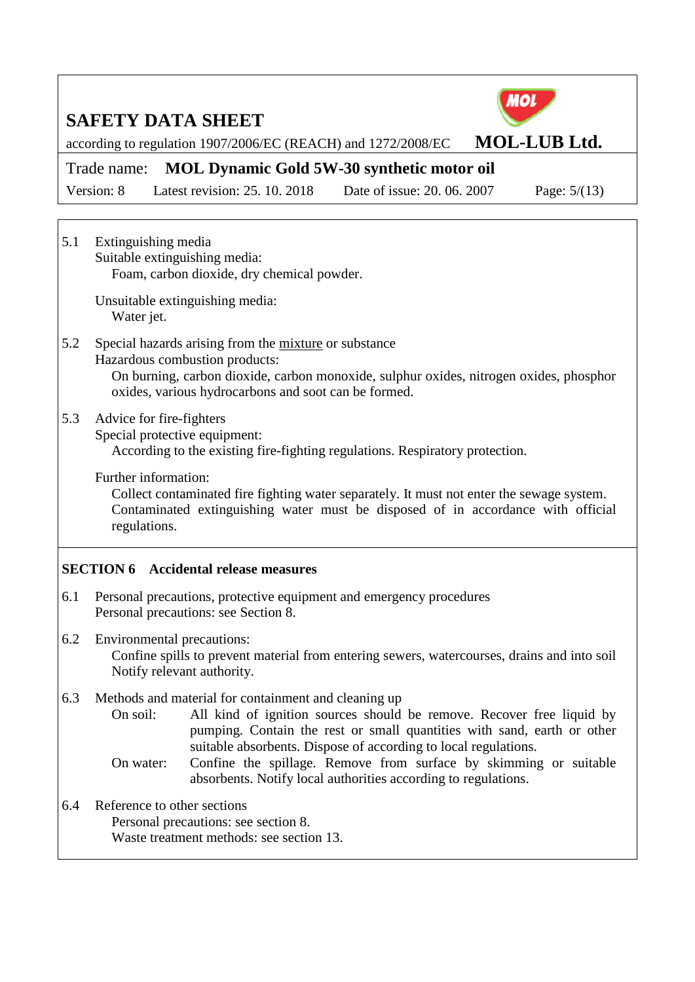

according to regulation 1907/2006/EC (REACH) and 1272/2008/EC **MOL-LUB Ltd.** 

## Trade name: **MOL Dynamic Gold 5W-30 synthetic motor oil**

Version: 8 Latest revision: 25. 10. 2018 Date of issue: 20. 06. 2007 Page: 5/(13)

5.1 Extinguishing media Suitable extinguishing media: Foam, carbon dioxide, dry chemical powder.

> Unsuitable extinguishing media: Water jet.

- 5.2 Special hazards arising from the mixture or substance Hazardous combustion products: On burning, carbon dioxide, carbon monoxide, sulphur oxides, nitrogen oxides, phosphor oxides, various hydrocarbons and soot can be formed.
- 5.3 Advice for fire-fighters

Special protective equipment:

According to the existing fire-fighting regulations. Respiratory protection.

Further information:

Collect contaminated fire fighting water separately. It must not enter the sewage system. Contaminated extinguishing water must be disposed of in accordance with official regulations.

## **SECTION 6 Accidental release measures**

- 6.1 Personal precautions, protective equipment and emergency procedures Personal precautions: see Section 8.
- 6.2 Environmental precautions: Confine spills to prevent material from entering sewers, watercourses, drains and into soil Notify relevant authority.
- 6.3 Methods and material for containment and cleaning up
	- On soil: All kind of ignition sources should be remove. Recover free liquid by pumping. Contain the rest or small quantities with sand, earth or other suitable absorbents. Dispose of according to local regulations.
	- On water: Confine the spillage. Remove from surface by skimming or suitable absorbents. Notify local authorities according to regulations.
- 6.4 Reference to other sections Personal precautions: see section 8. Waste treatment methods: see section 13.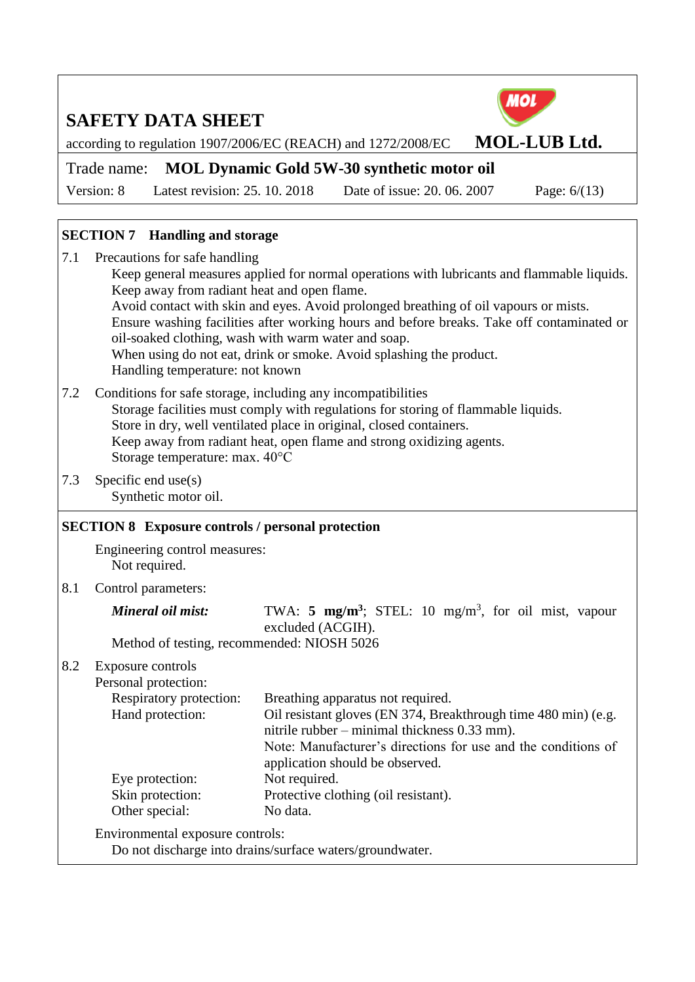

#### **SECTION 7 Handling and storage**

| 7.1 | Precautions for safe handling                                                              |
|-----|--------------------------------------------------------------------------------------------|
|     | Keep general measures applied for normal operations with lubricants and flammable liquids. |
|     | Keep away from radiant heat and open flame.                                                |
|     | Avoid contact with skin and eyes. Avoid prolonged breathing of oil vapours or mists.       |
|     | Ensure washing facilities after working hours and before breaks. Take off contaminated or  |
|     | oil-soaked clothing, wash with warm water and soap.                                        |
|     | When using do not eat, drink or smoke. Avoid splashing the product.                        |
|     | Handling temperature: not known                                                            |
|     | 7.2 Conditions for safe storage, including any incompatibilities                           |

- 7.2 Conditions for safe storage, including any incompatibilities Storage facilities must comply with regulations for storing of flammable liquids. Store in dry, well ventilated place in original, closed containers. Keep away from radiant heat, open flame and strong oxidizing agents. Storage temperature: max. 40°C
- 7.3 Specific end use(s) Synthetic motor oil.

#### **SECTION 8 Exposure controls / personal protection**

Engineering control measures: Not required.

8.1 Control parameters:

| Mineral oil mist:                          |  | TWA: 5 $mg/m^3$ ; STEL: 10 $mg/m^3$ , for oil mist, vapour |  |  |  |  |
|--------------------------------------------|--|------------------------------------------------------------|--|--|--|--|
|                                            |  | excluded (ACGIH).                                          |  |  |  |  |
| Method of testing, recommended: NIOSH 5026 |  |                                                            |  |  |  |  |

#### 8.2 Exposure controls

| Personal protection:             |                                                                |
|----------------------------------|----------------------------------------------------------------|
| Respiratory protection:          | Breathing apparatus not required.                              |
| Hand protection:                 | Oil resistant gloves (EN 374, Breakthrough time 480 min) (e.g. |
|                                  | nitrile rubber – minimal thickness 0.33 mm).                   |
|                                  | Note: Manufacturer's directions for use and the conditions of  |
|                                  | application should be observed.                                |
| Eye protection:                  | Not required.                                                  |
| Skin protection:                 | Protective clothing (oil resistant).                           |
| Other special:                   | No data.                                                       |
| Environmental exposure controls: |                                                                |

Do not discharge into drains/surface waters/groundwater.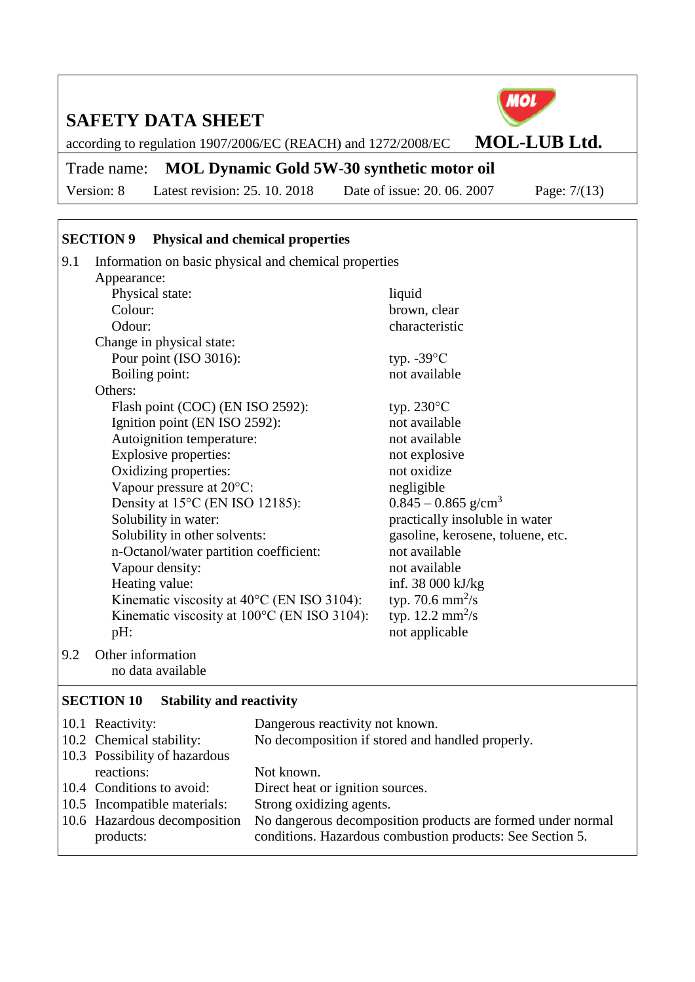according to regulation 1907/2006/EC (REACH) and 1272/2008/EC **MOL-LUB Ltd.** 

## Trade name: **MOL Dynamic Gold 5W-30 synthetic motor oil**

Version: 8 Latest revision: 25. 10. 2018 Date of issue: 20. 06. 2007 Page: 7/(13)

## **SECTION 9 Physical and chemical properties**

| 9.1 | Information on basic physical and chemical properties |                                   |  |  |  |  |  |
|-----|-------------------------------------------------------|-----------------------------------|--|--|--|--|--|
|     | Appearance:                                           |                                   |  |  |  |  |  |
|     | Physical state:                                       | liquid                            |  |  |  |  |  |
|     | Colour:                                               | brown, clear                      |  |  |  |  |  |
|     | Odour:                                                | characteristic                    |  |  |  |  |  |
|     | Change in physical state:                             |                                   |  |  |  |  |  |
|     | Pour point (ISO 3016):                                | typ. $-39^{\circ}$ C              |  |  |  |  |  |
|     | Boiling point:                                        | not available                     |  |  |  |  |  |
|     | Others:                                               |                                   |  |  |  |  |  |
|     | Flash point (COC) (EN ISO 2592):                      | typ. $230^{\circ}$ C              |  |  |  |  |  |
|     | Ignition point (EN ISO 2592):                         | not available                     |  |  |  |  |  |
|     | Autoignition temperature:                             | not available                     |  |  |  |  |  |
|     | Explosive properties:                                 | not explosive                     |  |  |  |  |  |
|     | Oxidizing properties:                                 | not oxidize                       |  |  |  |  |  |
|     | Vapour pressure at $20^{\circ}$ C:                    | negligible                        |  |  |  |  |  |
|     | Density at 15°C (EN ISO 12185):                       | $0.845 - 0.865$ g/cm <sup>3</sup> |  |  |  |  |  |
|     | Solubility in water:                                  | practically insoluble in water    |  |  |  |  |  |
|     | Solubility in other solvents:                         | gasoline, kerosene, toluene, etc. |  |  |  |  |  |
|     | n-Octanol/water partition coefficient:                | not available                     |  |  |  |  |  |
|     | Vapour density:                                       | not available                     |  |  |  |  |  |
|     | Heating value:                                        | inf. $38\,000\,\mathrm{kJ/kg}$    |  |  |  |  |  |
|     | Kinematic viscosity at $40^{\circ}$ C (EN ISO 3104):  | typ. 70.6 $mm^2/s$                |  |  |  |  |  |
|     | Kinematic viscosity at 100°C (EN ISO 3104):           | typ. $12.2 \text{ mm}^2/\text{s}$ |  |  |  |  |  |
|     | pH:                                                   | not applicable                    |  |  |  |  |  |
| 9.2 | Other information                                     |                                   |  |  |  |  |  |

no data available

## **SECTION 10 Stability and reactivity**

| 10.1 Reactivity:              | Dangerous reactivity not known.                             |
|-------------------------------|-------------------------------------------------------------|
| 10.2 Chemical stability:      | No decomposition if stored and handled properly.            |
| 10.3 Possibility of hazardous |                                                             |
| reactions:                    | Not known.                                                  |
| 10.4 Conditions to avoid:     | Direct heat or ignition sources.                            |
| 10.5 Incompatible materials:  | Strong oxidizing agents.                                    |
| 10.6 Hazardous decomposition  | No dangerous decomposition products are formed under normal |
| products:                     | conditions. Hazardous combustion products: See Section 5.   |
|                               |                                                             |



MOL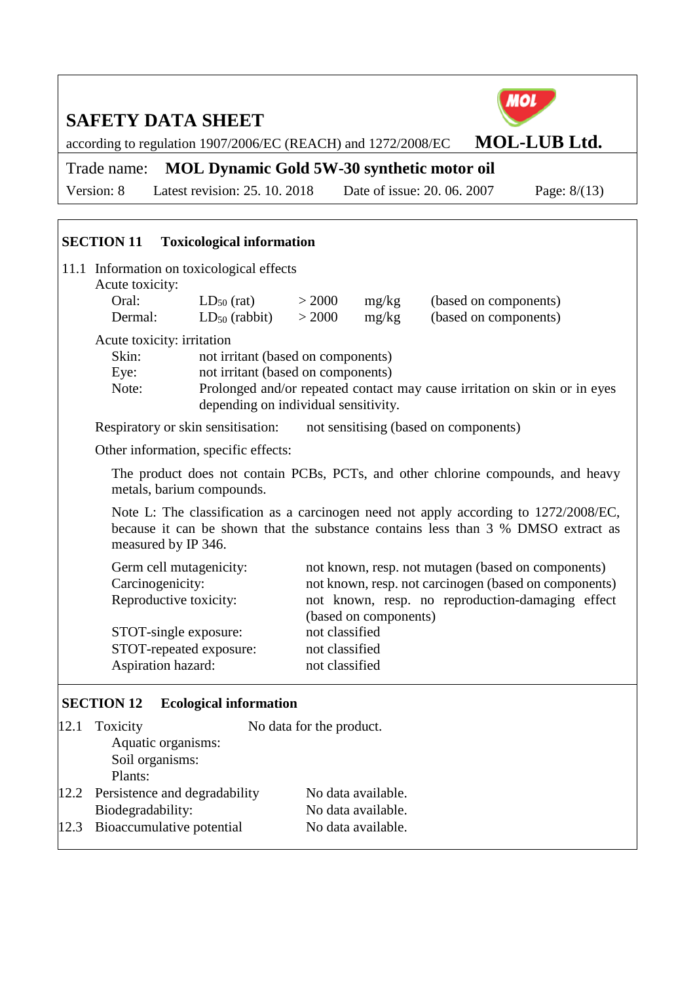according to regulation 1907/2006/EC (REACH) and 1272/2008/EC **MOL-LUB Ltd.** 

Trade name: **MOL Dynamic Gold 5W-30 synthetic motor oil**

Version: 8 Latest revision: 25. 10. 2018 Date of issue: 20. 06. 2007 Page: 8/(13)

|                                         | <b>SECTION 11</b> Toxicological information                                                                                                                                                                                                           |                                       |                  |                       |                                                                                                                                                                 |  |
|-----------------------------------------|-------------------------------------------------------------------------------------------------------------------------------------------------------------------------------------------------------------------------------------------------------|---------------------------------------|------------------|-----------------------|-----------------------------------------------------------------------------------------------------------------------------------------------------------------|--|
|                                         | 11.1 Information on toxicological effects<br>Acute toxicity:                                                                                                                                                                                          |                                       |                  |                       |                                                                                                                                                                 |  |
|                                         | Oral:<br>Dermal:                                                                                                                                                                                                                                      | $LD_{50}$ (rat)<br>$LD_{50}$ (rabbit) | > 2000<br>> 2000 | mg/kg<br>mg/kg        | (based on components)<br>(based on components)                                                                                                                  |  |
|                                         | Acute toxicity: irritation<br>Skin:<br>not irritant (based on components)<br>not irritant (based on components)<br>Eye:<br>Prolonged and/or repeated contact may cause irritation on skin or in eyes<br>Note:<br>depending on individual sensitivity. |                                       |                  |                       |                                                                                                                                                                 |  |
|                                         |                                                                                                                                                                                                                                                       | Respiratory or skin sensitisation:    |                  |                       | not sensitising (based on components)                                                                                                                           |  |
|                                         |                                                                                                                                                                                                                                                       | Other information, specific effects:  |                  |                       |                                                                                                                                                                 |  |
|                                         | The product does not contain PCBs, PCTs, and other chlorine compounds, and heavy<br>metals, barium compounds.                                                                                                                                         |                                       |                  |                       |                                                                                                                                                                 |  |
|                                         | Note L: The classification as a carcinogen need not apply according to 1272/2008/EC,<br>because it can be shown that the substance contains less than 3 % DMSO extract as<br>measured by IP 346.                                                      |                                       |                  |                       |                                                                                                                                                                 |  |
|                                         | Germ cell mutagenicity:<br>Carcinogenicity:<br>Reproductive toxicity:                                                                                                                                                                                 |                                       |                  | (based on components) | not known, resp. not mutagen (based on components)<br>not known, resp. not carcinogen (based on components)<br>not known, resp. no reproduction-damaging effect |  |
| not classified<br>STOT-single exposure: |                                                                                                                                                                                                                                                       |                                       |                  |                       |                                                                                                                                                                 |  |
|                                         | STOT-repeated exposure:                                                                                                                                                                                                                               |                                       | not classified   |                       |                                                                                                                                                                 |  |
|                                         | Aspiration hazard:                                                                                                                                                                                                                                    |                                       | not classified   |                       |                                                                                                                                                                 |  |
|                                         | <b>SECTION 12</b>                                                                                                                                                                                                                                     | <b>Ecological information</b>         |                  |                       |                                                                                                                                                                 |  |

| 12.1 | Toxicity                           | No data for the product. |
|------|------------------------------------|--------------------------|
|      | Aquatic organisms:                 |                          |
|      | Soil organisms:                    |                          |
|      | Plants:                            |                          |
|      | 12.2 Persistence and degradability | No data available.       |
|      | Biodegradability:                  | No data available.       |
|      | 12.3 Bioaccumulative potential     | No data available.       |
|      |                                    |                          |

MOL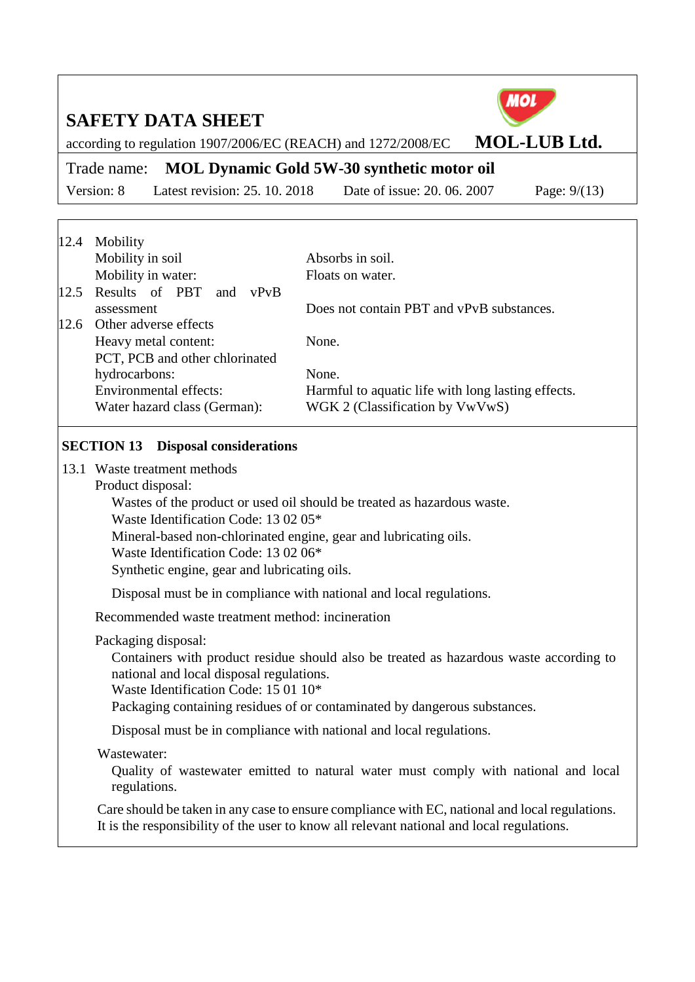

according to regulation 1907/2006/EC (REACH) and 1272/2008/EC **MOL-LUB Ltd.** 

Trade name: **MOL Dynamic Gold 5W-30 synthetic motor oil**

Version: 8 Latest revision: 25. 10. 2018 Date of issue: 20. 06. 2007 Page: 9/(13)

| Mobility                        |                                                    |
|---------------------------------|----------------------------------------------------|
| Mobility in soil                | Absorbs in soil.                                   |
| Mobility in water:              | Floats on water.                                   |
| 12.5 Results of PBT and<br>vPvB |                                                    |
| assessment                      | Does not contain PBT and vPvB substances.          |
| Other adverse effects           |                                                    |
| Heavy metal content:            | None.                                              |
| PCT, PCB and other chlorinated  |                                                    |
| hydrocarbons:                   | None.                                              |
| <b>Environmental effects:</b>   | Harmful to aquatic life with long lasting effects. |
| Water hazard class (German):    | WGK 2 (Classification by VwVwS)                    |
|                                 |                                                    |

#### **SECTION 13 Disposal considerations**

- 13.1 Waste treatment methods
	- Product disposal:

Wastes of the product or used oil should be treated as hazardous waste.

Waste Identification Code: 13 02 05\*

Mineral-based non-chlorinated engine, gear and lubricating oils.

Waste Identification Code: 13 02 06\*

Synthetic engine, gear and lubricating oils.

Disposal must be in compliance with national and local regulations.

Recommended waste treatment method: incineration

Packaging disposal:

Containers with product residue should also be treated as hazardous waste according to national and local disposal regulations.

Waste Identification Code: 15 01 10\*

Packaging containing residues of or contaminated by dangerous substances.

Disposal must be in compliance with national and local regulations.

## Wastewater:

Quality of wastewater emitted to natural water must comply with national and local regulations.

Care should be taken in any case to ensure compliance with EC, national and local regulations. It is the responsibility of the user to know all relevant national and local regulations.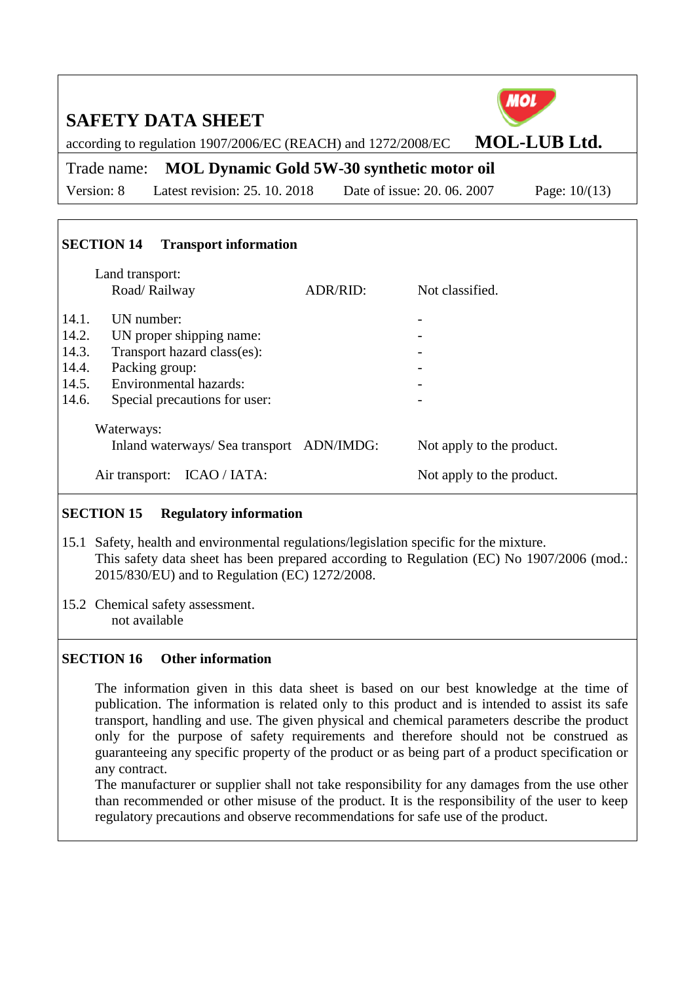| 10<br><b>SAFETY DATA SHEET</b><br><b>MOL-LUB Ltd.</b><br>according to regulation 1907/2006/EC (REACH) and 1272/2008/EC                                                                                                                                                                           |                             |                                                        |  |  |  |  |
|--------------------------------------------------------------------------------------------------------------------------------------------------------------------------------------------------------------------------------------------------------------------------------------------------|-----------------------------|--------------------------------------------------------|--|--|--|--|
| <b>MOL Dynamic Gold 5W-30 synthetic motor oil</b><br>Trade name:                                                                                                                                                                                                                                 |                             |                                                        |  |  |  |  |
| Latest revision: 25. 10. 2018<br>Version: 8                                                                                                                                                                                                                                                      | Date of issue: 20, 06, 2007 | Page: $10/(13)$                                        |  |  |  |  |
| <b>SECTION 14</b><br><b>Transport information</b><br>Land transport:<br>Road/Railway<br>UN number:<br>14.1.<br>14.2.<br>UN proper shipping name:<br>14.3.<br>Transport hazard class(es):<br>14.4.<br>Packing group:<br>Environmental hazards:<br>14.5.<br>14.6.<br>Special precautions for user: | Not classified.<br>ADR/RID: |                                                        |  |  |  |  |
| Waterways:<br>Inland waterways/ Sea transport ADN/IMDG:<br>Air transport: ICAO / IATA:                                                                                                                                                                                                           |                             | Not apply to the product.<br>Not apply to the product. |  |  |  |  |

## **SECTION 15 Regulatory information**

- 15.1 Safety, health and environmental regulations/legislation specific for the mixture. This safety data sheet has been prepared according to Regulation (EC) No 1907/2006 (mod.: 2015/830/EU) and to Regulation (EC) 1272/2008.
- 15.2 Chemical safety assessment.

not available

## **SECTION 16 Other information**

The information given in this data sheet is based on our best knowledge at the time of publication. The information is related only to this product and is intended to assist its safe transport, handling and use. The given physical and chemical parameters describe the product only for the purpose of safety requirements and therefore should not be construed as guaranteeing any specific property of the product or as being part of a product specification or any contract.

The manufacturer or supplier shall not take responsibility for any damages from the use other than recommended or other misuse of the product. It is the responsibility of the user to keep regulatory precautions and observe recommendations for safe use of the product.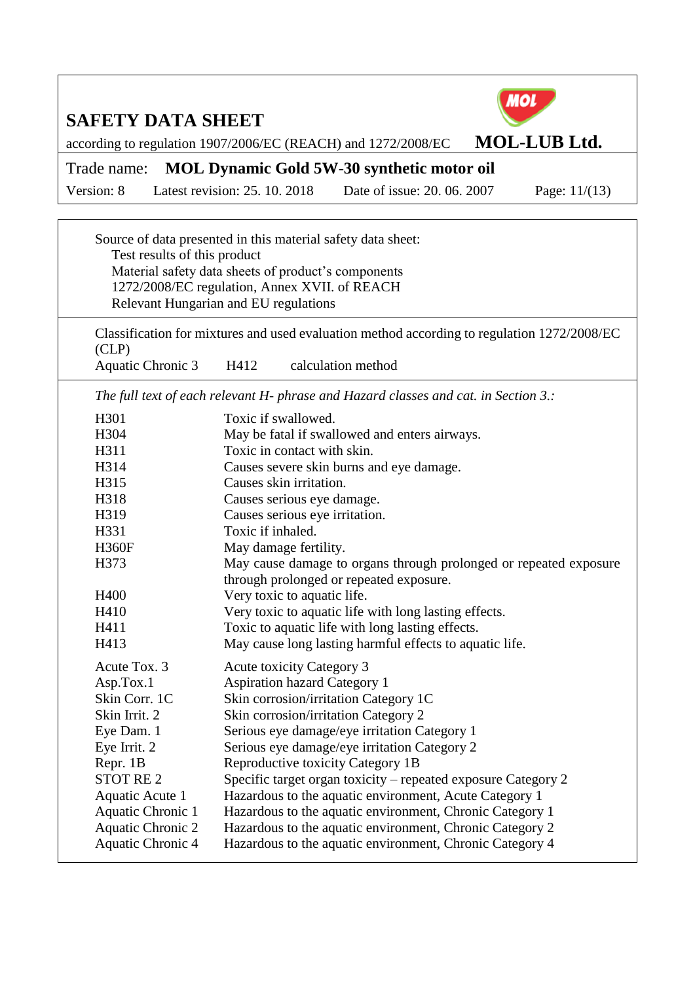

Source of data presented in this material safety data sheet: Test results of this product Material safety data sheets of product's components 1272/2008/EC regulation, Annex XVII. of REACH Relevant Hungarian and EU regulations

Classification for mixtures and used evaluation method according to regulation 1272/2008/EC (CLP) Aquatic Chronic 3 H412 calculation method

*The full text of each relevant H- phrase and Hazard classes and cat. in Section 3.:*

| H304<br>May be fatal if swallowed and enters airways.<br>H311<br>Toxic in contact with skin.<br>H314<br>Causes severe skin burns and eye damage.<br>Causes skin irritation.<br>H315<br>H318<br>Causes serious eye damage.<br>Causes serious eye irritation.<br>H319<br>Toxic if inhaled.<br>H331<br><b>H360F</b><br>May damage fertility.<br>H373<br>May cause damage to organs through prolonged or repeated exposure<br>through prolonged or repeated exposure.<br>Very toxic to aquatic life.<br>H400<br>Very toxic to aquatic life with long lasting effects.<br>Toxic to aquatic life with long lasting effects.<br>H411<br>May cause long lasting harmful effects to aquatic life.<br>H413<br>Acute Tox. 3<br><b>Acute toxicity Category 3</b><br><b>Aspiration hazard Category 1</b><br>Asp.Tox.1<br>Skin Corr. 1C<br>Skin corrosion/irritation Category 1C<br>Skin corrosion/irritation Category 2<br>Skin Irrit. 2<br>Serious eye damage/eye irritation Category 1<br>Eye Dam. 1<br>Serious eye damage/eye irritation Category 2<br>Eye Irrit. 2<br>Repr. 1B<br>Reproductive toxicity Category 1B<br><b>STOT RE2</b><br>Specific target organ toxicity – repeated exposure Category 2<br>Hazardous to the aquatic environment, Acute Category 1<br>Aquatic Acute 1 | H301              | Toxic if swallowed.                                      |
|-----------------------------------------------------------------------------------------------------------------------------------------------------------------------------------------------------------------------------------------------------------------------------------------------------------------------------------------------------------------------------------------------------------------------------------------------------------------------------------------------------------------------------------------------------------------------------------------------------------------------------------------------------------------------------------------------------------------------------------------------------------------------------------------------------------------------------------------------------------------------------------------------------------------------------------------------------------------------------------------------------------------------------------------------------------------------------------------------------------------------------------------------------------------------------------------------------------------------------------------------------------------------------|-------------------|----------------------------------------------------------|
|                                                                                                                                                                                                                                                                                                                                                                                                                                                                                                                                                                                                                                                                                                                                                                                                                                                                                                                                                                                                                                                                                                                                                                                                                                                                             |                   |                                                          |
|                                                                                                                                                                                                                                                                                                                                                                                                                                                                                                                                                                                                                                                                                                                                                                                                                                                                                                                                                                                                                                                                                                                                                                                                                                                                             |                   |                                                          |
|                                                                                                                                                                                                                                                                                                                                                                                                                                                                                                                                                                                                                                                                                                                                                                                                                                                                                                                                                                                                                                                                                                                                                                                                                                                                             |                   |                                                          |
|                                                                                                                                                                                                                                                                                                                                                                                                                                                                                                                                                                                                                                                                                                                                                                                                                                                                                                                                                                                                                                                                                                                                                                                                                                                                             |                   |                                                          |
|                                                                                                                                                                                                                                                                                                                                                                                                                                                                                                                                                                                                                                                                                                                                                                                                                                                                                                                                                                                                                                                                                                                                                                                                                                                                             |                   |                                                          |
|                                                                                                                                                                                                                                                                                                                                                                                                                                                                                                                                                                                                                                                                                                                                                                                                                                                                                                                                                                                                                                                                                                                                                                                                                                                                             |                   |                                                          |
|                                                                                                                                                                                                                                                                                                                                                                                                                                                                                                                                                                                                                                                                                                                                                                                                                                                                                                                                                                                                                                                                                                                                                                                                                                                                             |                   |                                                          |
|                                                                                                                                                                                                                                                                                                                                                                                                                                                                                                                                                                                                                                                                                                                                                                                                                                                                                                                                                                                                                                                                                                                                                                                                                                                                             |                   |                                                          |
|                                                                                                                                                                                                                                                                                                                                                                                                                                                                                                                                                                                                                                                                                                                                                                                                                                                                                                                                                                                                                                                                                                                                                                                                                                                                             |                   |                                                          |
|                                                                                                                                                                                                                                                                                                                                                                                                                                                                                                                                                                                                                                                                                                                                                                                                                                                                                                                                                                                                                                                                                                                                                                                                                                                                             |                   |                                                          |
|                                                                                                                                                                                                                                                                                                                                                                                                                                                                                                                                                                                                                                                                                                                                                                                                                                                                                                                                                                                                                                                                                                                                                                                                                                                                             |                   |                                                          |
|                                                                                                                                                                                                                                                                                                                                                                                                                                                                                                                                                                                                                                                                                                                                                                                                                                                                                                                                                                                                                                                                                                                                                                                                                                                                             | H410              |                                                          |
|                                                                                                                                                                                                                                                                                                                                                                                                                                                                                                                                                                                                                                                                                                                                                                                                                                                                                                                                                                                                                                                                                                                                                                                                                                                                             |                   |                                                          |
|                                                                                                                                                                                                                                                                                                                                                                                                                                                                                                                                                                                                                                                                                                                                                                                                                                                                                                                                                                                                                                                                                                                                                                                                                                                                             |                   |                                                          |
|                                                                                                                                                                                                                                                                                                                                                                                                                                                                                                                                                                                                                                                                                                                                                                                                                                                                                                                                                                                                                                                                                                                                                                                                                                                                             |                   |                                                          |
|                                                                                                                                                                                                                                                                                                                                                                                                                                                                                                                                                                                                                                                                                                                                                                                                                                                                                                                                                                                                                                                                                                                                                                                                                                                                             |                   |                                                          |
|                                                                                                                                                                                                                                                                                                                                                                                                                                                                                                                                                                                                                                                                                                                                                                                                                                                                                                                                                                                                                                                                                                                                                                                                                                                                             |                   |                                                          |
|                                                                                                                                                                                                                                                                                                                                                                                                                                                                                                                                                                                                                                                                                                                                                                                                                                                                                                                                                                                                                                                                                                                                                                                                                                                                             |                   |                                                          |
|                                                                                                                                                                                                                                                                                                                                                                                                                                                                                                                                                                                                                                                                                                                                                                                                                                                                                                                                                                                                                                                                                                                                                                                                                                                                             |                   |                                                          |
|                                                                                                                                                                                                                                                                                                                                                                                                                                                                                                                                                                                                                                                                                                                                                                                                                                                                                                                                                                                                                                                                                                                                                                                                                                                                             |                   |                                                          |
|                                                                                                                                                                                                                                                                                                                                                                                                                                                                                                                                                                                                                                                                                                                                                                                                                                                                                                                                                                                                                                                                                                                                                                                                                                                                             |                   |                                                          |
|                                                                                                                                                                                                                                                                                                                                                                                                                                                                                                                                                                                                                                                                                                                                                                                                                                                                                                                                                                                                                                                                                                                                                                                                                                                                             |                   |                                                          |
|                                                                                                                                                                                                                                                                                                                                                                                                                                                                                                                                                                                                                                                                                                                                                                                                                                                                                                                                                                                                                                                                                                                                                                                                                                                                             |                   |                                                          |
|                                                                                                                                                                                                                                                                                                                                                                                                                                                                                                                                                                                                                                                                                                                                                                                                                                                                                                                                                                                                                                                                                                                                                                                                                                                                             | Aquatic Chronic 1 | Hazardous to the aquatic environment, Chronic Category 1 |
| Hazardous to the aquatic environment, Chronic Category 2<br><b>Aquatic Chronic 2</b>                                                                                                                                                                                                                                                                                                                                                                                                                                                                                                                                                                                                                                                                                                                                                                                                                                                                                                                                                                                                                                                                                                                                                                                        |                   |                                                          |
| Aquatic Chronic 4<br>Hazardous to the aquatic environment, Chronic Category 4                                                                                                                                                                                                                                                                                                                                                                                                                                                                                                                                                                                                                                                                                                                                                                                                                                                                                                                                                                                                                                                                                                                                                                                               |                   |                                                          |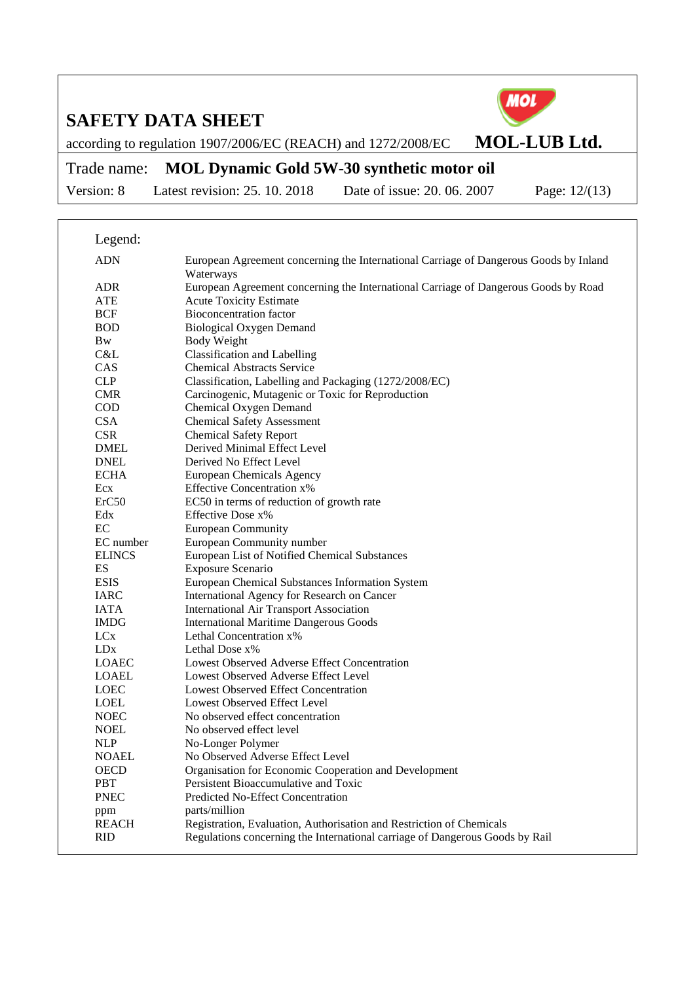

according to regulation 1907/2006/EC (REACH) and 1272/2008/EC **MOL-LUB Ltd.** 

## Trade name: **MOL Dynamic Gold 5W-30 synthetic motor oil**

Version: 8 Latest revision: 25. 10. 2018 Date of issue: 20. 06. 2007 Page: 12/(13)

Legend: ADN European Agreement concerning the International Carriage of Dangerous Goods by Inland Waterways ADR European Agreement concerning the International Carriage of Dangerous Goods by Road ATE Acute Toxicity Estimate BCF Bioconcentration factor<br>BOD Biological Oxygen Den BOD Biological Oxygen Demand<br>Bw Body Weight Body Weight C&L Classification and Labelling<br>CAS Chemical Abstracts Service CAS Chemical Abstracts Service<br>CLP Classification Labelling and Classification, Labelling and Packaging (1272/2008/EC) CMR Carcinogenic, Mutagenic or Toxic for Reproduction COD Chemical Oxygen Demand CSA Chemical Safety Assessment CSR Chemical Safety Report DMEL Derived Minimal Effect Level DNEL Derived No Effect Level ECHA European Chemicals Agency Ecx Effective Concentration x% ErC50 EC50 in terms of reduction of growth rate Edx Effective Dose x% EC European Community<br>EC number European Community European Community number ELINCS European List of Notified Chemical Substances ES<br>
Exposure Scenario<br>
European Chemica<br>
European Chemica European Chemical Substances Information System IARC International Agency for Research on Cancer IATA International Air Transport Association International Maritime Dangerous Goods LCx Lethal Concentration x% LDx Lethal Dose x%<br>
LOAEC Lowest Observe Lowest Observed Adverse Effect Concentration LOAEL Lowest Observed Adverse Effect Level LOEC Lowest Observed Effect Concentration LOEL Lowest Observed Effect Level NOEC No observed effect concentration NOEL No observed effect level NLP No-Longer Polymer NOAEL No Observed Adverse Effect Level OECD Organisation for Economic Cooperation and Development<br>
PBT Persistent Bioaccumulative and Toxic Persistent Bioaccumulative and Toxic PNEC Predicted No-Effect Concentration ppm parts/million<br>REACH Registration. Registration, Evaluation, Authorisation and Restriction of Chemicals RID Regulations concerning the International carriage of Dangerous Goods by Rail